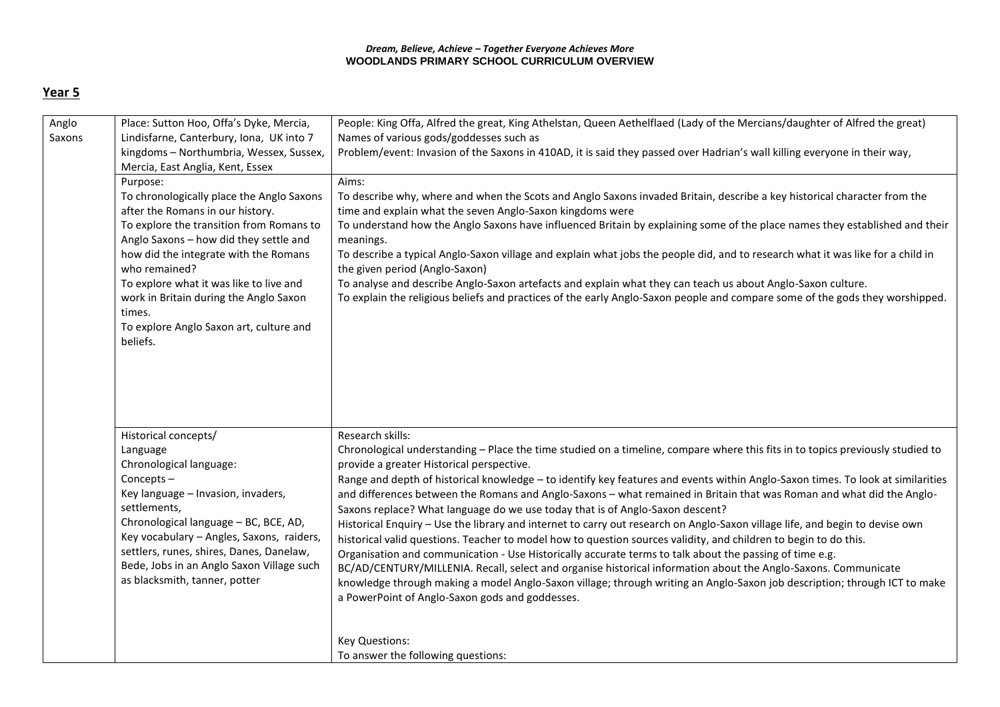## *Dream, Believe, Achieve – Together Everyone Achieves More* **WOODLANDS PRIMARY SCHOOL CURRICULUM OVERVIEW**

## **Year 5**

| Anglo<br>Saxons | Place: Sutton Hoo, Offa's Dyke, Mercia,<br>Lindisfarne, Canterbury, Iona, UK into 7<br>kingdoms - Northumbria, Wessex, Sussex,<br>Mercia, East Anglia, Kent, Essex                                                                                                                                                                                                                              | People: King Offa, Alfred the great, King Athelstan, Queen Aethelflaed (Lady of the Mercians/daughter of Alfred the great)<br>Names of various gods/goddesses such as<br>Problem/event: Invasion of the Saxons in 410AD, it is said they passed over Hadrian's wall killing everyone in their way,                                                                                                                                                                                                                                                                                                                                                                                                                                                                                                                                                                                                                                                                                                                                                                                                                                                                                                            |
|-----------------|-------------------------------------------------------------------------------------------------------------------------------------------------------------------------------------------------------------------------------------------------------------------------------------------------------------------------------------------------------------------------------------------------|---------------------------------------------------------------------------------------------------------------------------------------------------------------------------------------------------------------------------------------------------------------------------------------------------------------------------------------------------------------------------------------------------------------------------------------------------------------------------------------------------------------------------------------------------------------------------------------------------------------------------------------------------------------------------------------------------------------------------------------------------------------------------------------------------------------------------------------------------------------------------------------------------------------------------------------------------------------------------------------------------------------------------------------------------------------------------------------------------------------------------------------------------------------------------------------------------------------|
|                 | Purpose:<br>To chronologically place the Anglo Saxons<br>after the Romans in our history.<br>To explore the transition from Romans to<br>Anglo Saxons - how did they settle and<br>how did the integrate with the Romans<br>who remained?<br>To explore what it was like to live and<br>work in Britain during the Anglo Saxon<br>times.<br>To explore Anglo Saxon art, culture and<br>beliefs. | Aims:<br>To describe why, where and when the Scots and Anglo Saxons invaded Britain, describe a key historical character from the<br>time and explain what the seven Anglo-Saxon kingdoms were<br>To understand how the Anglo Saxons have influenced Britain by explaining some of the place names they established and their<br>meanings.<br>To describe a typical Anglo-Saxon village and explain what jobs the people did, and to research what it was like for a child in<br>the given period (Anglo-Saxon)<br>To analyse and describe Anglo-Saxon artefacts and explain what they can teach us about Anglo-Saxon culture.<br>To explain the religious beliefs and practices of the early Anglo-Saxon people and compare some of the gods they worshipped.                                                                                                                                                                                                                                                                                                                                                                                                                                                |
|                 | Historical concepts/<br>Language<br>Chronological language:<br>Concepts-<br>Key language - Invasion, invaders,<br>settlements,<br>Chronological language - BC, BCE, AD,<br>Key vocabulary - Angles, Saxons, raiders,<br>settlers, runes, shires, Danes, Danelaw,<br>Bede, Jobs in an Anglo Saxon Village such<br>as blacksmith, tanner, potter                                                  | Research skills:<br>Chronological understanding - Place the time studied on a timeline, compare where this fits in to topics previously studied to<br>provide a greater Historical perspective.<br>Range and depth of historical knowledge - to identify key features and events within Anglo-Saxon times. To look at similarities<br>and differences between the Romans and Anglo-Saxons - what remained in Britain that was Roman and what did the Anglo-<br>Saxons replace? What language do we use today that is of Anglo-Saxon descent?<br>Historical Enquiry - Use the library and internet to carry out research on Anglo-Saxon village life, and begin to devise own<br>historical valid questions. Teacher to model how to question sources validity, and children to begin to do this.<br>Organisation and communication - Use Historically accurate terms to talk about the passing of time e.g.<br>BC/AD/CENTURY/MILLENIA. Recall, select and organise historical information about the Anglo-Saxons. Communicate<br>knowledge through making a model Anglo-Saxon village; through writing an Anglo-Saxon job description; through ICT to make<br>a PowerPoint of Anglo-Saxon gods and goddesses. |
|                 |                                                                                                                                                                                                                                                                                                                                                                                                 | <b>Key Questions:</b><br>To answer the following questions:                                                                                                                                                                                                                                                                                                                                                                                                                                                                                                                                                                                                                                                                                                                                                                                                                                                                                                                                                                                                                                                                                                                                                   |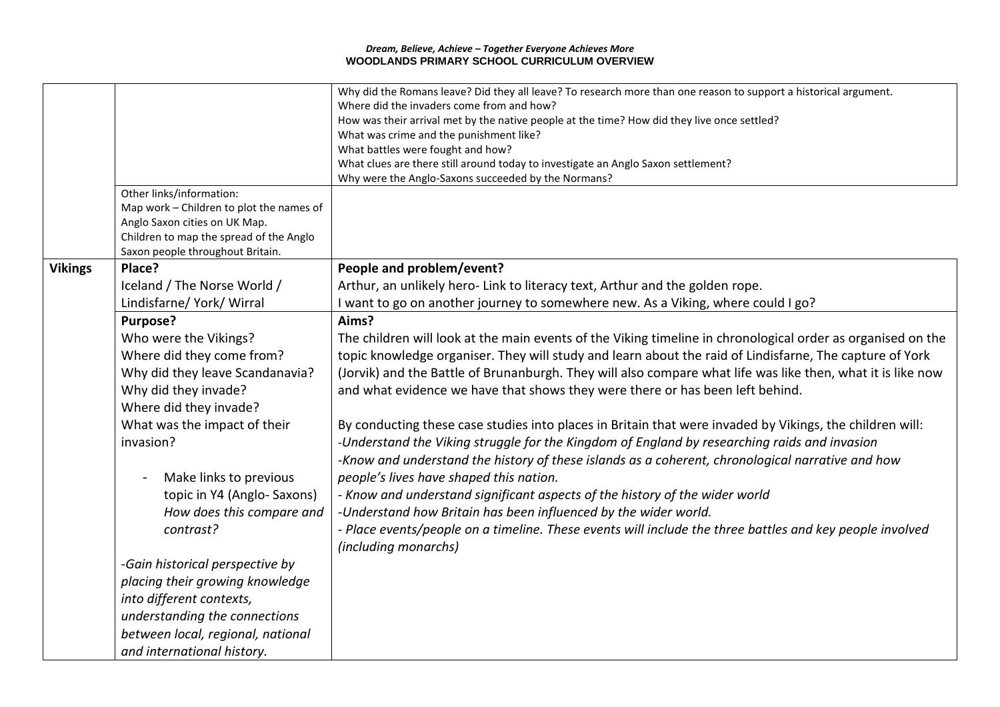## *Dream, Believe, Achieve – Together Everyone Achieves More* **WOODLANDS PRIMARY SCHOOL CURRICULUM OVERVIEW**

|                |                                            | Why did the Romans leave? Did they all leave? To research more than one reason to support a historical argument. |
|----------------|--------------------------------------------|------------------------------------------------------------------------------------------------------------------|
|                |                                            | Where did the invaders come from and how?                                                                        |
|                |                                            | How was their arrival met by the native people at the time? How did they live once settled?                      |
|                |                                            | What was crime and the punishment like?                                                                          |
|                |                                            | What battles were fought and how?                                                                                |
|                |                                            | What clues are there still around today to investigate an Anglo Saxon settlement?                                |
|                |                                            | Why were the Anglo-Saxons succeeded by the Normans?                                                              |
|                | Other links/information:                   |                                                                                                                  |
|                | Map work - Children to plot the names of   |                                                                                                                  |
|                | Anglo Saxon cities on UK Map.              |                                                                                                                  |
|                | Children to map the spread of the Anglo    |                                                                                                                  |
| <b>Vikings</b> | Saxon people throughout Britain.<br>Place? | People and problem/event?                                                                                        |
|                |                                            |                                                                                                                  |
|                | Iceland / The Norse World /                | Arthur, an unlikely hero- Link to literacy text, Arthur and the golden rope.                                     |
|                | Lindisfarne/ York/ Wirral                  | I want to go on another journey to somewhere new. As a Viking, where could I go?                                 |
|                | Purpose?                                   | Aims?                                                                                                            |
|                | Who were the Vikings?                      | The children will look at the main events of the Viking timeline in chronological order as organised on the      |
|                | Where did they come from?                  | topic knowledge organiser. They will study and learn about the raid of Lindisfarne, The capture of York          |
|                | Why did they leave Scandanavia?            | (Jorvik) and the Battle of Brunanburgh. They will also compare what life was like then, what it is like now      |
|                | Why did they invade?                       | and what evidence we have that shows they were there or has been left behind.                                    |
|                | Where did they invade?                     |                                                                                                                  |
|                |                                            |                                                                                                                  |
|                | What was the impact of their               | By conducting these case studies into places in Britain that were invaded by Vikings, the children will:         |
|                | invasion?                                  | -Understand the Viking struggle for the Kingdom of England by researching raids and invasion                     |
|                |                                            | -Know and understand the history of these islands as a coherent, chronological narrative and how                 |
|                | Make links to previous                     | people's lives have shaped this nation.                                                                          |
|                | topic in Y4 (Anglo-Saxons)                 | - Know and understand significant aspects of the history of the wider world                                      |
|                | How does this compare and                  | -Understand how Britain has been influenced by the wider world.                                                  |
|                | contrast?                                  | - Place events/people on a timeline. These events will include the three battles and key people involved         |
|                |                                            | (including monarchs)                                                                                             |
|                | -Gain historical perspective by            |                                                                                                                  |
|                | placing their growing knowledge            |                                                                                                                  |
|                | into different contexts,                   |                                                                                                                  |
|                | understanding the connections              |                                                                                                                  |
|                | between local, regional, national          |                                                                                                                  |
|                | and international history.                 |                                                                                                                  |
|                |                                            |                                                                                                                  |